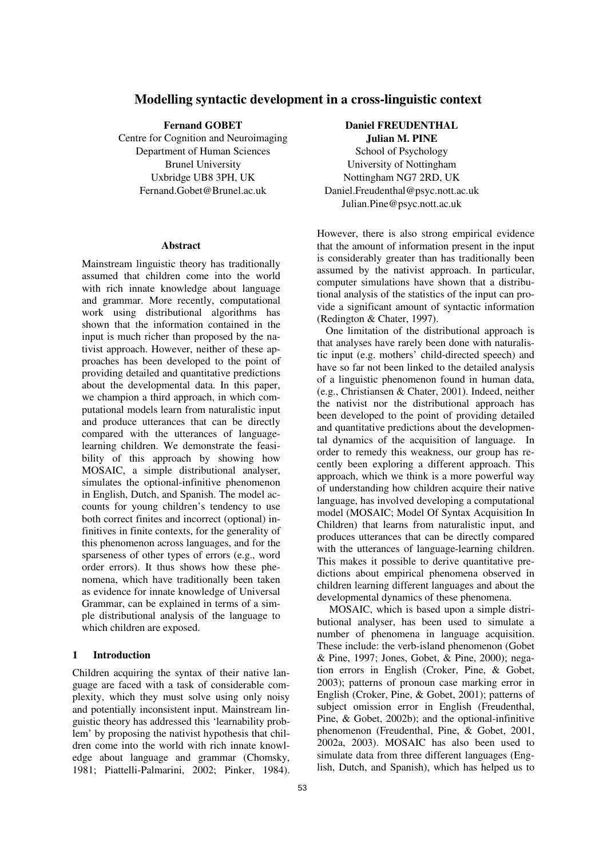# Modelling syntactic development in a cross-linguistic context

Fernand GOBET

Centre for Cognition and Neuroimaging Department of Human Sciences Brunel University Uxbridge UB8 3PH, UK Fernand.Gobet@Brunel.ac.uk

#### Abstract

Mainstream linguistic theory has traditionally assumed that children come into the world with rich innate knowledge about language and grammar. More recently, computational work using distributional algorithms has shown that the information contained in the input is much richer than proposed by the nativist approach. However, neither of these approaches has been developed to the point of providing detailed and quantitative predictions about the developmental data. In this paper, we champion a third approach, in which computational models learn from naturalistic input and produce utterances that can be directly compared with the utterances of languagelearning children. We demonstrate the feasibility of this approach by showing how MOSAIC, a simple distributional analyser, simulates the optional-infinitive phenomenon in English, Dutch, and Spanish. The model accounts for young children's tendency to use both correct finites and incorrect (optional) infinitives in finite contexts, for the generality of this phenomenon across languages, and for the sparseness of other types of errors (e.g., word order errors). It thus shows how these phenomena, which have traditionally been taken as evidence for innate knowledge of Universal Grammar, can be explained in terms of a simple distributional analysis of the language to which children are exposed.

# 1 Introduction

Children acquiring the syntax of their native language are faced with a task of considerable complexity, which they must solve using only noisy and potentially inconsistent input. Mainstream linguistic theory has addressed this 'learnability problem' by proposing the nativist hypothesis that children come into the world with rich innate knowledge about language and grammar (Chomsky, 1981; Piattelli-Palmarini, 2002; Pinker, 1984).

Daniel FREUDENTHAL

Julian M. PINE School of Psychology University of Nottingham Nottingham NG7 2RD, UK Daniel.Freudenthal@psyc.nott.ac.uk Julian.Pine@psyc.nott.ac.uk

However, there is also strong empirical evidence that the amount of information present in the input is considerably greater than has traditionally been assumed by the nativist approach. In particular, computer simulations have shown that a distributional analysis of the statistics of the input can provide a significant amount of syntactic information (Redington & Chater, 1997).

One limitation of the distributional approach is that analyses have rarely been done with naturalistic input (e.g. mothers' child-directed speech) and have so far not been linked to the detailed analysis of a linguistic phenomenon found in human data, (e.g., Christiansen & Chater, 2001). Indeed, neither the nativist nor the distributional approach has been developed to the point of providing detailed and quantitative predictions about the developmental dynamics of the acquisition of language. In order to remedy this weakness, our group has recently been exploring a different approach. This approach, which we think is a more powerful way of understanding how children acquire their native language, has involved developing a computational model (MOSAIC; Model Of Syntax Acquisition In Children) that learns from naturalistic input, and produces utterances that can be directly compared with the utterances of language-learning children. This makes it possible to derive quantitative predictions about empirical phenomena observed in children learning different languages and about the developmental dynamics of these phenomena.

MOSAIC, which is based upon a simple distributional analyser, has been used to simulate a number of phenomena in language acquisition. These include: the verb-island phenomenon (Gobet & Pine, 1997; Jones, Gobet, & Pine, 2000); negation errors in English (Croker, Pine, & Gobet, 2003); patterns of pronoun case marking error in English (Croker, Pine, & Gobet, 2001); patterns of subject omission error in English (Freudenthal, Pine, & Gobet, 2002b); and the optional-infinitive phenomenon (Freudenthal, Pine, & Gobet, 2001, 2002a, 2003). MOSAIC has also been used to simulate data from three different languages (English, Dutch, and Spanish), which has helped us to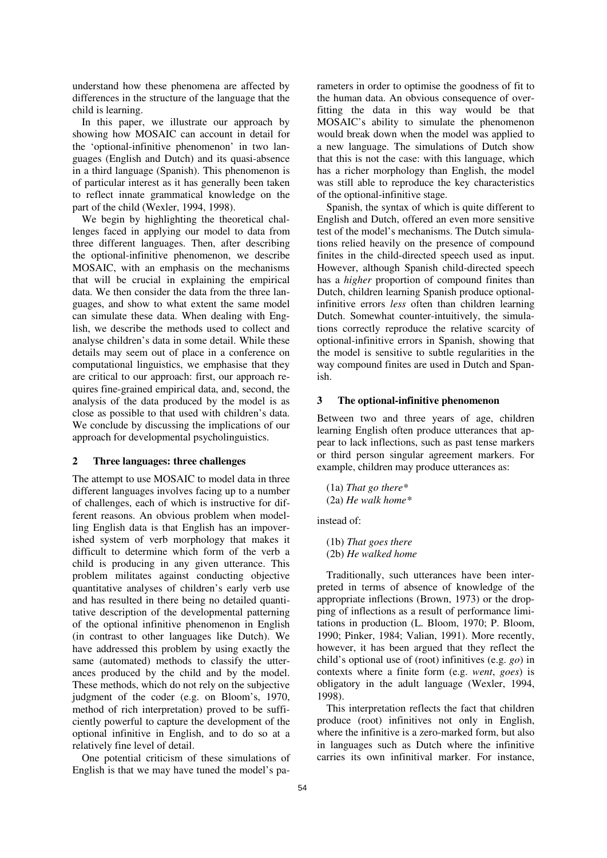understand how these phenomena are affected by differences in the structure of the language that the child is learning.

In this paper, we illustrate our approach by showing how MOSAIC can account in detail for the 'optional-infinitive phenomenon' in two languages (English and Dutch) and its quasi-absence in a third language (Spanish). This phenomenon is of particular interest as it has generally been taken to reflect innate grammatical knowledge on the part of the child (Wexler, 1994, 1998).

We begin by highlighting the theoretical challenges faced in applying our model to data from three different languages. Then, after describing the optional-infinitive phenomenon, we describe MOSAIC, with an emphasis on the mechanisms that will be crucial in explaining the empirical data. We then consider the data from the three languages, and show to what extent the same model can simulate these data. When dealing with English, we describe the methods used to collect and analyse children's data in some detail. While these details may seem out of place in a conference on computational linguistics, we emphasise that they are critical to our approach: first, our approach requires fine-grained empirical data, and, second, the analysis of the data produced by the model is as close as possible to that used with children's data. We conclude by discussing the implications of our approach for developmental psycholinguistics.

### 2 Three languages: three challenges

The attempt to use MOSAIC to model data in three different languages involves facing up to a number of challenges, each of which is instructive for different reasons. An obvious problem when modelling English data is that English has an impoverished system of verb morphology that makes it difficult to determine which form of the verb a child is producing in any given utterance. This problem militates against conducting objective quantitative analyses of children's early verb use and has resulted in there being no detailed quantitative description of the developmental patterning of the optional infinitive phenomenon in English (in contrast to other languages like Dutch). We have addressed this problem by using exactly the same (automated) methods to classify the utterances produced by the child and by the model. These methods, which do not rely on the subjective judgment of the coder (e.g. on Bloom's, 1970, method of rich interpretation) proved to be sufficiently powerful to capture the development of the optional infinitive in English, and to do so at a relatively fine level of detail.

One potential criticism of these simulations of English is that we may have tuned the model's parameters in order to optimise the goodness of fit to the human data. An obvious consequence of overfitting the data in this way would be that MOSAIC's ability to simulate the phenomenon would break down when the model was applied to a new language. The simulations of Dutch show that this is not the case: with this language, which has a richer morphology than English, the model was still able to reproduce the key characteristics of the optional-infinitive stage.

Spanish, the syntax of which is quite different to English and Dutch, offered an even more sensitive test of the model's mechanisms. The Dutch simulations relied heavily on the presence of compound finites in the child-directed speech used as input. However, although Spanish child-directed speech has a higher proportion of compound finites than Dutch, children learning Spanish produce optionalinfinitive errors less often than children learning Dutch. Somewhat counter-intuitively, the simulations correctly reproduce the relative scarcity of optional-infinitive errors in Spanish, showing that the model is sensitive to subtle regularities in the way compound finites are used in Dutch and Spanish.

## 3 The optional-infinitive phenomenon

Between two and three years of age, children learning English often produce utterances that appear to lack inflections, such as past tense markers or third person singular agreement markers. For example, children may produce utterances as:

(1a) That go there  $*$ (2a) He walk home\*

instead of:

(1b) That goes there (2b) He walked home

Traditionally, such utterances have been interpreted in terms of absence of knowledge of the appropriate inflections (Brown, 1973) or the dropping of inflections as a result of performance limitations in production (L. Bloom, 1970; P. Bloom, 1990; Pinker, 1984; Valian, 1991). More recently, however, it has been argued that they reflect the child's optional use of (root) infinitives (e.g. go) in contexts where a finite form (e.g. went, goes) is obligatory in the adult language (Wexler, 1994, 1998).

This interpretation reflects the fact that children produce (root) infinitives not only in English, where the infinitive is a zero-marked form, but also in languages such as Dutch where the infinitive carries its own infinitival marker. For instance,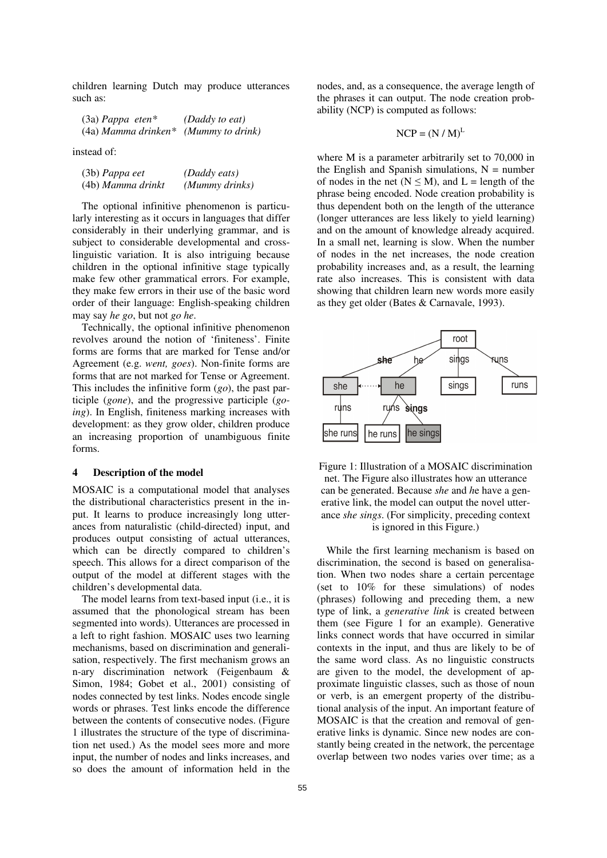children learning Dutch may produce utterances such as:

| $(3a)$ Pappa eten*                     | (Daddy to eat) |
|----------------------------------------|----------------|
| $(4a)$ Mamma drinken* (Mummy to drink) |                |

instead of:

| (3b) Pappa eet    | (Daddy eats)   |
|-------------------|----------------|
| (4b) Mamma drinkt | (Mummy drinks) |

The optional infinitive phenomenon is particularly interesting as it occurs in languages that differ considerably in their underlying grammar, and is subject to considerable developmental and crosslinguistic variation. It is also intriguing because children in the optional infinitive stage typically make few other grammatical errors. For example, they make few errors in their use of the basic word order of their language: English-speaking children may say he go, but not go he.

Technically, the optional infinitive phenomenon revolves around the notion of 'finiteness'. Finite forms are forms that are marked for Tense and/or Agreement (e.g. went, goes). Non-finite forms are forms that are not marked for Tense or Agreement. This includes the infinitive form  $(go)$ , the past participle (gone), and the progressive participle (going). In English, finiteness marking increases with development: as they grow older, children produce an increasing proportion of unambiguous finite forms.

### 4 Description of the model

MOSAIC is a computational model that analyses the distributional characteristics present in the input. It learns to produce increasingly long utterances from naturalistic (child-directed) input, and produces output consisting of actual utterances, which can be directly compared to children's speech. This allows for a direct comparison of the output of the model at different stages with the children's developmental data.

The model learns from text-based input (i.e., it is assumed that the phonological stream has been segmented into words). Utterances are processed in a left to right fashion. MOSAIC uses two learning mechanisms, based on discrimination and generalisation, respectively. The first mechanism grows an n-ary discrimination network (Feigenbaum & Simon, 1984; Gobet et al., 2001) consisting of nodes connected by test links. Nodes encode single words or phrases. Test links encode the difference between the contents of consecutive nodes. (Figure 1 illustrates the structure of the type of discrimination net used.) As the model sees more and more input, the number of nodes and links increases, and so does the amount of information held in the nodes, and, as a consequence, the average length of the phrases it can output. The node creation probability (NCP) is computed as follows:

$$
NCP = (N / M)^L
$$

where M is a parameter arbitrarily set to 70,000 in the English and Spanish simulations,  $N =$  number of nodes in the net  $(N \le M)$ , and L = length of the phrase being encoded. Node creation probability is thus dependent both on the length of the utterance (longer utterances are less likely to yield learning) and on the amount of knowledge already acquired. In a small net, learning is slow. When the number of nodes in the net increases, the node creation probability increases and, as a result, the learning rate also increases. This is consistent with data showing that children learn new words more easily as they get older (Bates & Carnavale, 1993).





While the first learning mechanism is based on discrimination, the second is based on generalisation. When two nodes share a certain percentage (set to 10% for these simulations) of nodes (phrases) following and preceding them, a new type of link, a generative link is created between them (see Figure 1 for an example). Generative links connect words that have occurred in similar contexts in the input, and thus are likely to be of the same word class. As no linguistic constructs are given to the model, the development of approximate linguistic classes, such as those of noun or verb, is an emergent property of the distributional analysis of the input. An important feature of MOSAIC is that the creation and removal of generative links is dynamic. Since new nodes are constantly being created in the network, the percentage overlap between two nodes varies over time; as a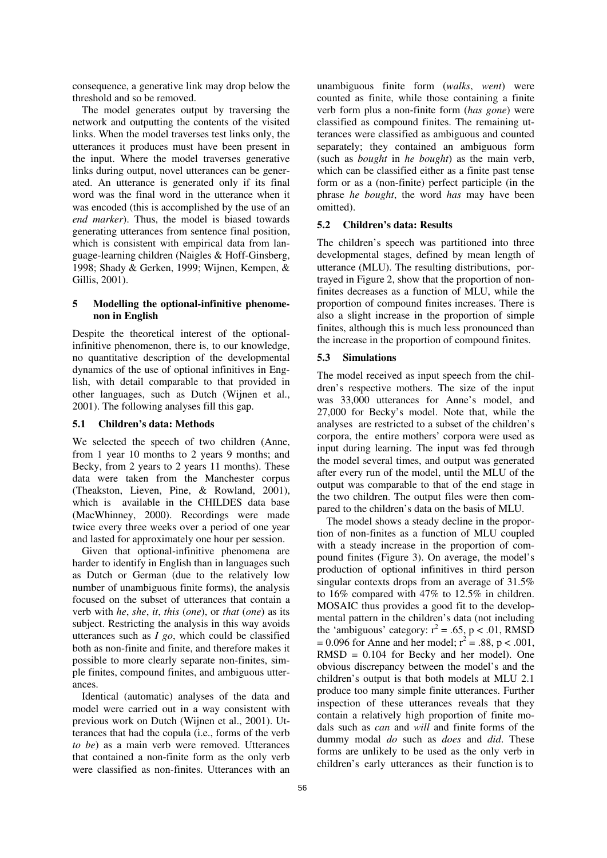consequence, a generative link may drop below the threshold and so be removed.

The model generates output by traversing the network and outputting the contents of the visited links. When the model traverses test links only, the utterances it produces must have been present in the input. Where the model traverses generative links during output, novel utterances can be generated. An utterance is generated only if its final word was the final word in the utterance when it was encoded (this is accomplished by the use of an end marker). Thus, the model is biased towards generating utterances from sentence final position, which is consistent with empirical data from language-learning children (Naigles & Hoff-Ginsberg, 1998; Shady & Gerken, 1999; Wijnen, Kempen, & Gillis, 2001).

### 5 Modelling the optional-infinitive phenomenon in English

Despite the theoretical interest of the optionalinfinitive phenomenon, there is, to our knowledge, no quantitative description of the developmental dynamics of the use of optional infinitives in English, with detail comparable to that provided in other languages, such as Dutch (Wijnen et al., 2001). The following analyses fill this gap.

### 5.1 Children's data: Methods

We selected the speech of two children (Anne, from 1 year 10 months to 2 years 9 months; and Becky, from 2 years to 2 years 11 months). These data were taken from the Manchester corpus (Theakston, Lieven, Pine, & Rowland, 2001), which is available in the CHILDES data base (MacWhinney, 2000). Recordings were made twice every three weeks over a period of one year and lasted for approximately one hour per session.

Given that optional-infinitive phenomena are harder to identify in English than in languages such as Dutch or German (due to the relatively low number of unambiguous finite forms), the analysis focused on the subset of utterances that contain a verb with he, she, it, this (one), or that (one) as its subject. Restricting the analysis in this way avoids utterances such as  $I$  go, which could be classified both as non-finite and finite, and therefore makes it possible to more clearly separate non-finites, simple finites, compound finites, and ambiguous utterances.

Identical (automatic) analyses of the data and model were carried out in a way consistent with previous work on Dutch (Wijnen et al., 2001). Utterances that had the copula (i.e., forms of the verb to be) as a main verb were removed. Utterances that contained a non-finite form as the only verb were classified as non-finites. Utterances with an

unambiguous finite form (walks, went) were counted as finite, while those containing a finite verb form plus a non-finite form (has gone) were classified as compound finites. The remaining utterances were classified as ambiguous and counted separately; they contained an ambiguous form (such as bought in he bought) as the main verb, which can be classified either as a finite past tense form or as a (non-finite) perfect participle (in the phrase he bought, the word has may have been omitted).

# 5.2 Children's data: Results

The children's speech was partitioned into three developmental stages, defined by mean length of utterance (MLU). The resulting distributions, portrayed in Figure 2, show that the proportion of nonfinites decreases as a function of MLU, while the proportion of compound finites increases. There is also a slight increase in the proportion of simple finites, although this is much less pronounced than the increase in the proportion of compound finites.

#### 5.3 Simulations

The model received as input speech from the children's respective mothers. The size of the input was 33,000 utterances for Anne's model, and 27,000 for Becky's model. Note that, while the analyses are restricted to a subset of the children's corpora, the entire mothers' corpora were used as input during learning. The input was fed through the model several times, and output was generated after every run of the model, until the MLU of the output was comparable to that of the end stage in the two children. The output files were then compared to the children's data on the basis of MLU.

The model shows a steady decline in the proportion of non-finites as a function of MLU coupled with a steady increase in the proportion of compound finites (Figure 3). On average, the model's production of optional infinitives in third person singular contexts drops from an average of 31.5% to 16% compared with 47% to 12.5% in children. MOSAIC thus provides a good fit to the developmental pattern in the children's data (not including the 'ambiguous' category:  $r^2 = .65$ , p < .01, RMSD  $= 0.096$  for Anne and her model;  $r^2 = .88$ , p < .001, RMSD = 0.104 for Becky and her model). One obvious discrepancy between the model's and the children's output is that both models at MLU 2.1 produce too many simple finite utterances. Further inspection of these utterances reveals that they contain a relatively high proportion of finite modals such as *can* and *will* and finite forms of the dummy modal do such as does and did. These forms are unlikely to be used as the only verb in children's early utterances as their function is to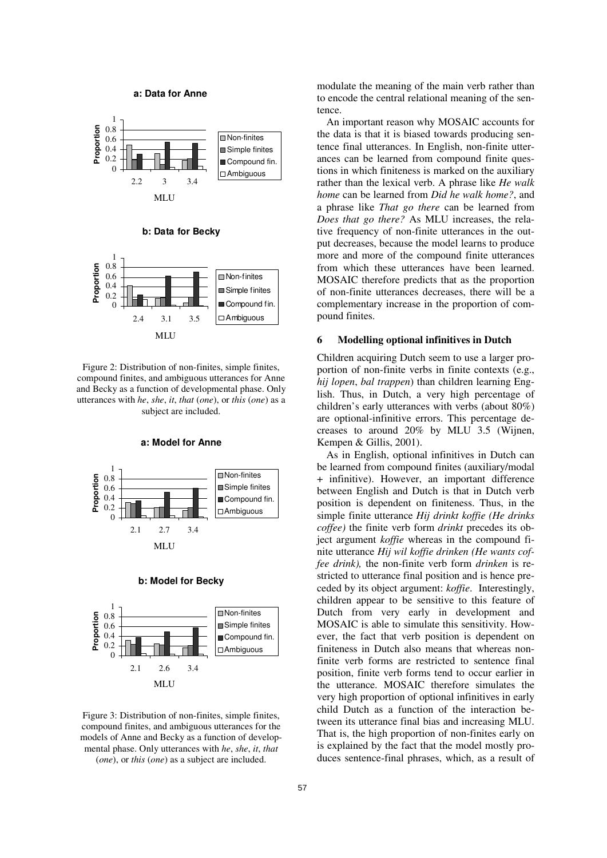

Figure 2: Distribution of non-finites, simple finites, compound finites, and ambiguous utterances for Anne and Becky as a function of developmental phase. Only utterances with he, she, it, that (one), or this (one) as a subject are included.

a: Model for Anne



#### b: Model for Becky



Figure 3: Distribution of non-finites, simple finites, compound finites, and ambiguous utterances for the models of Anne and Becky as a function of developmental phase. Only utterances with he, she, it, that (one), or this (one) as a subject are included.

modulate the meaning of the main verb rather than to encode the central relational meaning of the sentence.

An important reason why MOSAIC accounts for the data is that it is biased towards producing sentence final utterances. In English, non-finite utterances can be learned from compound finite questions in which finiteness is marked on the auxiliary rather than the lexical verb. A phrase like He walk home can be learned from Did he walk home?, and a phrase like That go there can be learned from Does that go there? As MLU increases, the relative frequency of non-finite utterances in the output decreases, because the model learns to produce more and more of the compound finite utterances from which these utterances have been learned. MOSAIC therefore predicts that as the proportion of non-finite utterances decreases, there will be a complementary increase in the proportion of compound finites.

## 6 Modelling optional infinitives in Dutch

Children acquiring Dutch seem to use a larger proportion of non-finite verbs in finite contexts (e.g., hij lopen, bal trappen) than children learning English. Thus, in Dutch, a very high percentage of children's early utterances with verbs (about 80%) are optional-infinitive errors. This percentage decreases to around 20% by MLU 3.5 (Wijnen, Kempen & Gillis, 2001).

As in English, optional infinitives in Dutch can be learned from compound finites (auxiliary/modal + infinitive). However, an important difference between English and Dutch is that in Dutch verb position is dependent on finiteness. Thus, in the simple finite utterance Hij drinkt koffie (He drinks coffee) the finite verb form drinkt precedes its object argument koffie whereas in the compound finite utterance Hij wil koffie drinken (He wants coffee drink), the non-finite verb form drinken is restricted to utterance final position and is hence preceded by its object argument: koffie. Interestingly, children appear to be sensitive to this feature of Dutch from very early in development and MOSAIC is able to simulate this sensitivity. However, the fact that verb position is dependent on finiteness in Dutch also means that whereas nonfinite verb forms are restricted to sentence final position, finite verb forms tend to occur earlier in the utterance. MOSAIC therefore simulates the very high proportion of optional infinitives in early child Dutch as a function of the interaction between its utterance final bias and increasing MLU. That is, the high proportion of non-finites early on is explained by the fact that the model mostly produces sentence-final phrases, which, as a result of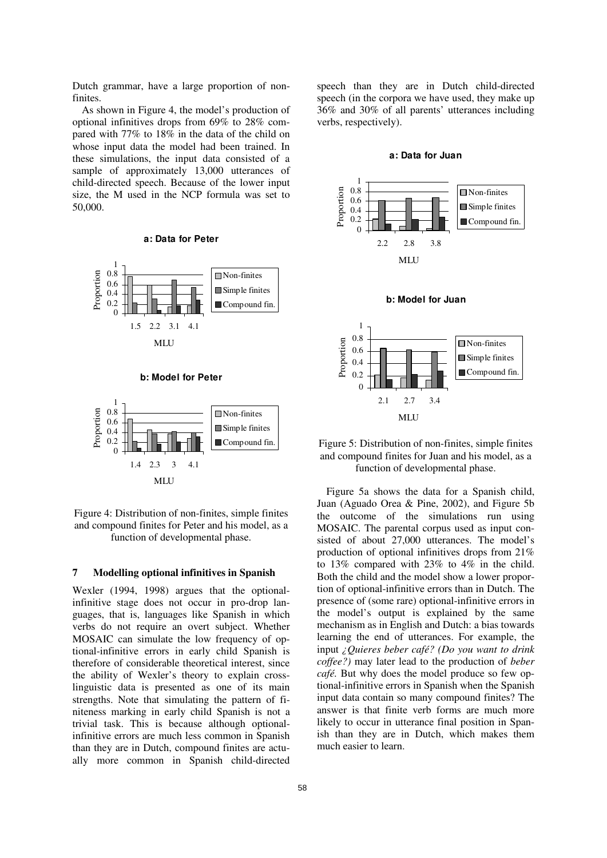Dutch grammar, have a large proportion of nonfinites.

As shown in Figure 4, the model's production of optional infinitives drops from 69% to 28% compared with 77% to 18% in the data of the child on whose input data the model had been trained. In these simulations, the input data consisted of a sample of approximately 13,000 utterances of child-directed speech. Because of the lower input size, the M used in the NCP formula was set to 50,000.

#### a: Data for Peter









### 7 Modelling optional infinitives in Spanish

Wexler (1994, 1998) argues that the optionalinfinitive stage does not occur in pro-drop languages, that is, languages like Spanish in which verbs do not require an overt subject. Whether MOSAIC can simulate the low frequency of optional-infinitive errors in early child Spanish is therefore of considerable theoretical interest, since the ability of Wexler's theory to explain crosslinguistic data is presented as one of its main strengths. Note that simulating the pattern of finiteness marking in early child Spanish is not a trivial task. This is because although optionalinfinitive errors are much less common in Spanish than they are in Dutch, compound finites are actually more common in Spanish child-directed speech than they are in Dutch child-directed speech (in the corpora we have used, they make up 36% and 30% of all parents' utterances including verbs, respectively).

#### a: Data for Juan





b: Model for Juan



Figure 5a shows the data for a Spanish child, Juan (Aguado Orea & Pine, 2002), and Figure 5b the outcome of the simulations run using MOSAIC. The parental corpus used as input consisted of about 27,000 utterances. The model's production of optional infinitives drops from 21% to 13% compared with 23% to 4% in the child. Both the child and the model show a lower proportion of optional-infinitive errors than in Dutch. The presence of (some rare) optional-infinitive errors in the model's output is explained by the same mechanism as in English and Dutch: a bias towards learning the end of utterances. For example, the input ¿Quieres beber café? (Do you want to drink coffee?) may later lead to the production of beber café. But why does the model produce so few optional-infinitive errors in Spanish when the Spanish input data contain so many compound finites? The answer is that finite verb forms are much more likely to occur in utterance final position in Spanish than they are in Dutch, which makes them much easier to learn.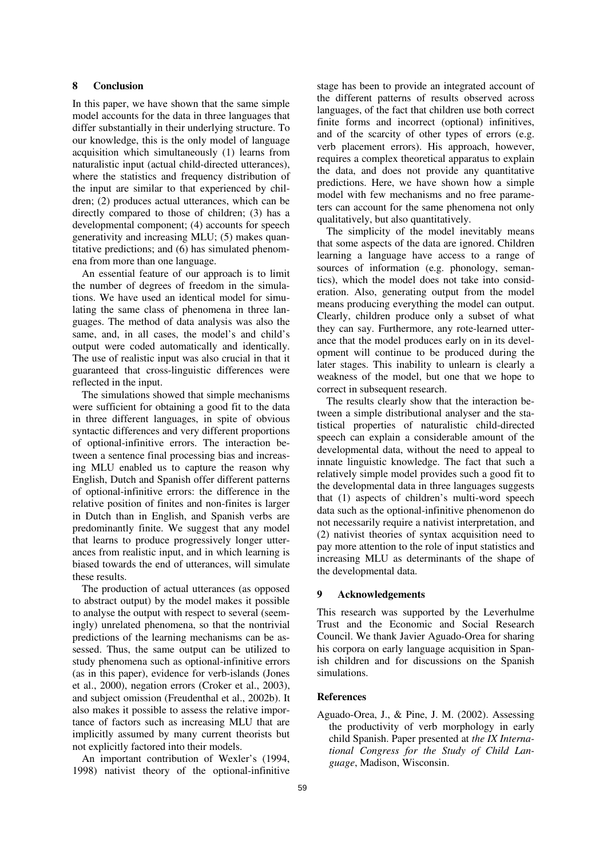# 8 Conclusion

In this paper, we have shown that the same simple model accounts for the data in three languages that differ substantially in their underlying structure. To our knowledge, this is the only model of language acquisition which simultaneously (1) learns from naturalistic input (actual child-directed utterances), where the statistics and frequency distribution of the input are similar to that experienced by children; (2) produces actual utterances, which can be directly compared to those of children; (3) has a developmental component; (4) accounts for speech generativity and increasing MLU; (5) makes quantitative predictions; and (6) has simulated phenomena from more than one language.

An essential feature of our approach is to limit the number of degrees of freedom in the simulations. We have used an identical model for simulating the same class of phenomena in three languages. The method of data analysis was also the same, and, in all cases, the model's and child's output were coded automatically and identically. The use of realistic input was also crucial in that it guaranteed that cross-linguistic differences were reflected in the input.

The simulations showed that simple mechanisms were sufficient for obtaining a good fit to the data in three different languages, in spite of obvious syntactic differences and very different proportions of optional-infinitive errors. The interaction between a sentence final processing bias and increasing MLU enabled us to capture the reason why English, Dutch and Spanish offer different patterns of optional-infinitive errors: the difference in the relative position of finites and non-finites is larger in Dutch than in English, and Spanish verbs are predominantly finite. We suggest that any model that learns to produce progressively longer utterances from realistic input, and in which learning is biased towards the end of utterances, will simulate these results.

The production of actual utterances (as opposed to abstract output) by the model makes it possible to analyse the output with respect to several (seemingly) unrelated phenomena, so that the nontrivial predictions of the learning mechanisms can be assessed. Thus, the same output can be utilized to study phenomena such as optional-infinitive errors (as in this paper), evidence for verb-islands (Jones et al., 2000), negation errors (Croker et al., 2003), and subject omission (Freudenthal et al., 2002b). It also makes it possible to assess the relative importance of factors such as increasing MLU that are implicitly assumed by many current theorists but not explicitly factored into their models.

An important contribution of Wexler's (1994, 1998) nativist theory of the optional-infinitive

stage has been to provide an integrated account of the different patterns of results observed across languages, of the fact that children use both correct finite forms and incorrect (optional) infinitives, and of the scarcity of other types of errors (e.g. verb placement errors). His approach, however, requires a complex theoretical apparatus to explain the data, and does not provide any quantitative predictions. Here, we have shown how a simple model with few mechanisms and no free parameters can account for the same phenomena not only qualitatively, but also quantitatively.

The simplicity of the model inevitably means that some aspects of the data are ignored. Children learning a language have access to a range of sources of information (e.g. phonology, semantics), which the model does not take into consideration. Also, generating output from the model means producing everything the model can output. Clearly, children produce only a subset of what they can say. Furthermore, any rote-learned utterance that the model produces early on in its development will continue to be produced during the later stages. This inability to unlearn is clearly a weakness of the model, but one that we hope to correct in subsequent research.

The results clearly show that the interaction between a simple distributional analyser and the statistical properties of naturalistic child-directed speech can explain a considerable amount of the developmental data, without the need to appeal to innate linguistic knowledge. The fact that such a relatively simple model provides such a good fit to the developmental data in three languages suggests that (1) aspects of children's multi-word speech data such as the optional-infinitive phenomenon do not necessarily require a nativist interpretation, and (2) nativist theories of syntax acquisition need to pay more attention to the role of input statistics and increasing MLU as determinants of the shape of the developmental data.

### 9 Acknowledgements

This research was supported by the Leverhulme Trust and the Economic and Social Research Council. We thank Javier Aguado-Orea for sharing his corpora on early language acquisition in Spanish children and for discussions on the Spanish simulations.

### References

Aguado-Orea, J., & Pine, J. M. (2002). Assessing the productivity of verb morphology in early child Spanish. Paper presented at the IX International Congress for the Study of Child Language, Madison, Wisconsin.